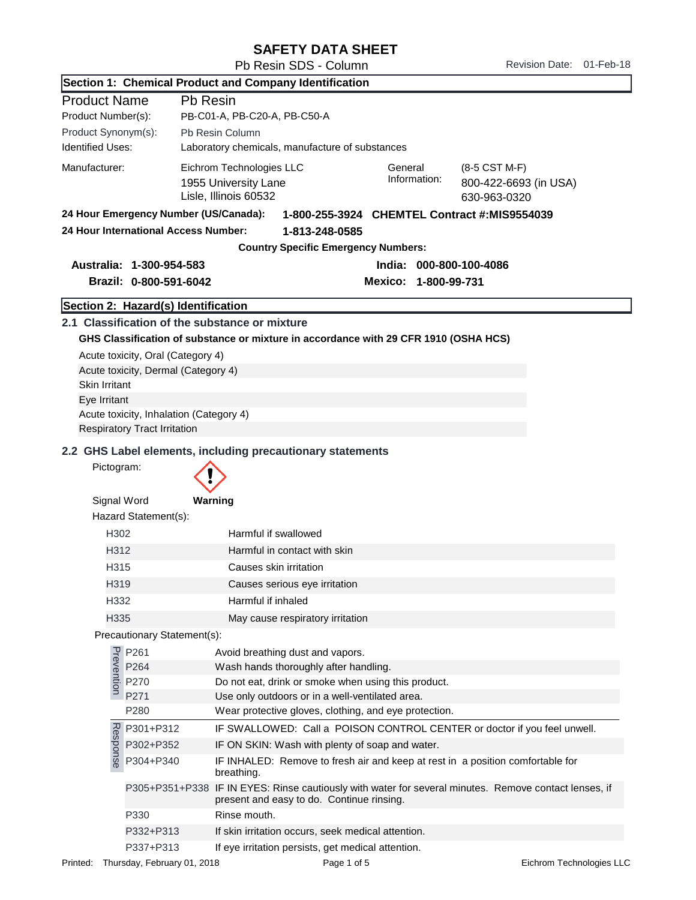## SAFETY DATA SHEET

Pb Resin SDS - Column Revision Date: 01-Feb-18

|                         |                                                                                                                                                                                                                                                                                      | Section 1: Chemical Product and Company Identification                                                              |  |  |  |
|-------------------------|--------------------------------------------------------------------------------------------------------------------------------------------------------------------------------------------------------------------------------------------------------------------------------------|---------------------------------------------------------------------------------------------------------------------|--|--|--|
| <b>Product Name</b>     | Pb Resin                                                                                                                                                                                                                                                                             |                                                                                                                     |  |  |  |
| Product Number(s):      |                                                                                                                                                                                                                                                                                      | PB-C01-A, PB-C20-A, PB-C50-A                                                                                        |  |  |  |
| Product Synonym(s):     |                                                                                                                                                                                                                                                                                      | Pb Resin Column                                                                                                     |  |  |  |
| <b>Identified Uses:</b> |                                                                                                                                                                                                                                                                                      | Laboratory chemicals, manufacture of substances                                                                     |  |  |  |
| Manufacturer:           |                                                                                                                                                                                                                                                                                      | Eichrom Technologies LLC<br>General<br>(8-5 CST M-F)                                                                |  |  |  |
|                         |                                                                                                                                                                                                                                                                                      | Information:<br>1955 University Lane<br>800-422-6693 (in USA)                                                       |  |  |  |
|                         |                                                                                                                                                                                                                                                                                      | Lisle, Illinois 60532<br>630-963-0320                                                                               |  |  |  |
|                         | 24 Hour Emergency Number (US/Canada):                                                                                                                                                                                                                                                | 1-800-255-3924 CHEMTEL Contract #:MIS9554039                                                                        |  |  |  |
|                         | 24 Hour International Access Number:                                                                                                                                                                                                                                                 | 1-813-248-0585                                                                                                      |  |  |  |
|                         |                                                                                                                                                                                                                                                                                      | <b>Country Specific Emergency Numbers:</b>                                                                          |  |  |  |
|                         | Australia: 1-300-954-583                                                                                                                                                                                                                                                             | India: 000-800-100-4086                                                                                             |  |  |  |
|                         | Brazil: 0-800-591-6042                                                                                                                                                                                                                                                               | Mexico: 1-800-99-731                                                                                                |  |  |  |
|                         | Section 2: Hazard(s) Identification                                                                                                                                                                                                                                                  |                                                                                                                     |  |  |  |
|                         |                                                                                                                                                                                                                                                                                      | 2.1 Classification of the substance or mixture                                                                      |  |  |  |
|                         |                                                                                                                                                                                                                                                                                      | GHS Classification of substance or mixture in accordance with 29 CFR 1910 (OSHA HCS)                                |  |  |  |
|                         | Acute toxicity, Oral (Category 4)                                                                                                                                                                                                                                                    |                                                                                                                     |  |  |  |
|                         | Acute toxicity, Dermal (Category 4)                                                                                                                                                                                                                                                  |                                                                                                                     |  |  |  |
| Skin Irritant           |                                                                                                                                                                                                                                                                                      |                                                                                                                     |  |  |  |
| Eye Irritant            |                                                                                                                                                                                                                                                                                      |                                                                                                                     |  |  |  |
|                         | Acute toxicity, Inhalation (Category 4)                                                                                                                                                                                                                                              |                                                                                                                     |  |  |  |
|                         | <b>Respiratory Tract Irritation</b>                                                                                                                                                                                                                                                  |                                                                                                                     |  |  |  |
|                         |                                                                                                                                                                                                                                                                                      | 2.2 GHS Label elements, including precautionary statements                                                          |  |  |  |
| Pictogram:              |                                                                                                                                                                                                                                                                                      |                                                                                                                     |  |  |  |
|                         |                                                                                                                                                                                                                                                                                      |                                                                                                                     |  |  |  |
| Signal Word             |                                                                                                                                                                                                                                                                                      | Warning                                                                                                             |  |  |  |
|                         | Hazard Statement(s):                                                                                                                                                                                                                                                                 |                                                                                                                     |  |  |  |
| H <sub>302</sub>        |                                                                                                                                                                                                                                                                                      | Harmful if swallowed                                                                                                |  |  |  |
| H312                    |                                                                                                                                                                                                                                                                                      | Harmful in contact with skin<br>Causes skin irritation<br>Causes serious eye irritation<br>Harmful if inhaled       |  |  |  |
| H315                    |                                                                                                                                                                                                                                                                                      |                                                                                                                     |  |  |  |
| H319                    |                                                                                                                                                                                                                                                                                      |                                                                                                                     |  |  |  |
| H332                    |                                                                                                                                                                                                                                                                                      |                                                                                                                     |  |  |  |
| H335                    |                                                                                                                                                                                                                                                                                      | May cause respiratory irritation                                                                                    |  |  |  |
|                         | Precautionary Statement(s):                                                                                                                                                                                                                                                          |                                                                                                                     |  |  |  |
|                         |                                                                                                                                                                                                                                                                                      | Avoid breathing dust and vapors.                                                                                    |  |  |  |
|                         |                                                                                                                                                                                                                                                                                      | Wash hands thoroughly after handling.                                                                               |  |  |  |
|                         | P270                                                                                                                                                                                                                                                                                 | Do not eat, drink or smoke when using this product.                                                                 |  |  |  |
|                         | P271                                                                                                                                                                                                                                                                                 | Use only outdoors or in a well-ventilated area.                                                                     |  |  |  |
|                         | P280                                                                                                                                                                                                                                                                                 | Wear protective gloves, clothing, and eye protection.                                                               |  |  |  |
|                         | Response<br>Bandar<br>Bandar<br>Bandar<br>Bandar<br>Bandar<br>Bandar<br>Bandar<br>Bandar<br>Bandar<br>Bandar<br>Bandar<br>Bandar<br>Bandar<br>Bandar<br>Bandar<br>Bandar<br>Bandar<br>Bandar<br>Bandar<br>Bandar<br>Bandar<br>Bandar<br>Bandar<br>Bandar<br>Bandar<br>Bandar<br>Band | IF SWALLOWED: Call a POISON CONTROL CENTER or doctor if you feel unwell.                                            |  |  |  |
|                         |                                                                                                                                                                                                                                                                                      | IF ON SKIN: Wash with plenty of soap and water.                                                                     |  |  |  |
|                         |                                                                                                                                                                                                                                                                                      | IF INHALED: Remove to fresh air and keep at rest in a position comfortable for                                      |  |  |  |
|                         |                                                                                                                                                                                                                                                                                      | breathing.<br>P305+P351+P338 IF IN EYES: Rinse cautiously with water for several minutes. Remove contact lenses, if |  |  |  |
|                         |                                                                                                                                                                                                                                                                                      | present and easy to do. Continue rinsing.                                                                           |  |  |  |
|                         | P330                                                                                                                                                                                                                                                                                 | Rinse mouth.                                                                                                        |  |  |  |
|                         | P332+P313                                                                                                                                                                                                                                                                            | If skin irritation occurs, seek medical attention.                                                                  |  |  |  |
|                         | P337+P313                                                                                                                                                                                                                                                                            | If eye irritation persists, get medical attention.                                                                  |  |  |  |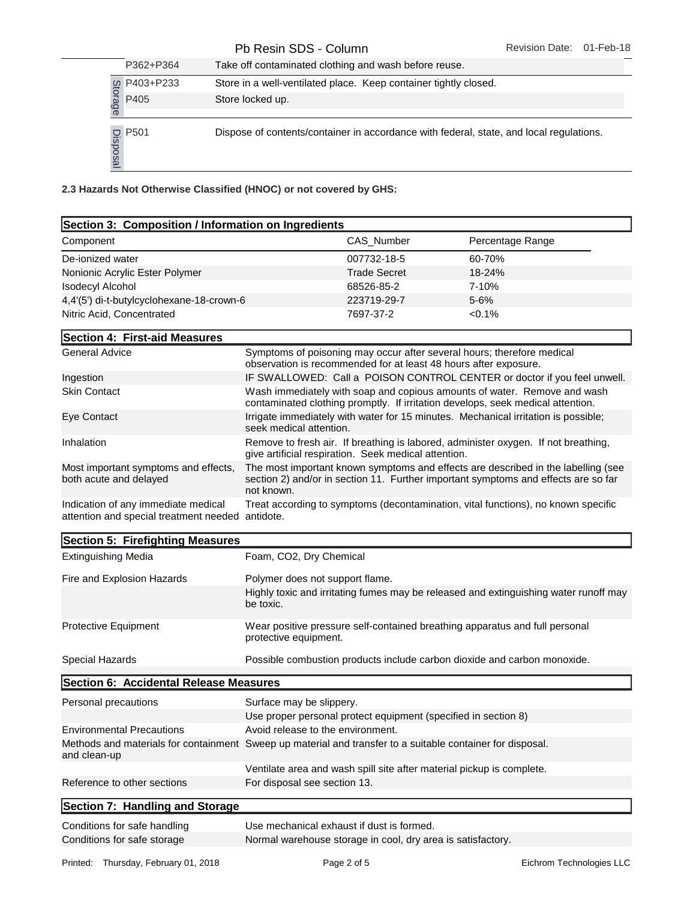| P362+P364                     | Take off contaminated clothing and wash before reuse.                                   |
|-------------------------------|-----------------------------------------------------------------------------------------|
|                               | Store in a well-ventilated place. Keep container tightly closed.                        |
| to P403+P233<br>as P405<br>es | Store locked up.                                                                        |
|                               |                                                                                         |
| D<br>Boogle<br>Boogle         | Dispose of contents/container in accordance with federal, state, and local regulations. |

| Store in a well-ventilated place. Keep container tightly closed.                                                                                                                         |                                   |                                                                                                                                                                         |                                                                                                                                                             |  |
|------------------------------------------------------------------------------------------------------------------------------------------------------------------------------------------|-----------------------------------|-------------------------------------------------------------------------------------------------------------------------------------------------------------------------|-------------------------------------------------------------------------------------------------------------------------------------------------------------|--|
| g P403+P233<br>ad P405<br>co<br>Store locked up.                                                                                                                                         |                                   |                                                                                                                                                                         |                                                                                                                                                             |  |
| $\begin{array}{c}\n\overline{G} & P501 \\ \overline{G} & \overline{G} \\ \hline\n\end{array}$<br>Dispose of contents/container in accordance with federal, state, and local regulations. |                                   |                                                                                                                                                                         |                                                                                                                                                             |  |
| 2.3 Hazards Not Otherwise Classified (HNOC) or not covered by GHS:                                                                                                                       |                                   |                                                                                                                                                                         |                                                                                                                                                             |  |
| Section 3: Composition / Information on Ingredients                                                                                                                                      |                                   |                                                                                                                                                                         |                                                                                                                                                             |  |
| Component                                                                                                                                                                                |                                   | CAS_Number                                                                                                                                                              | Percentage Range                                                                                                                                            |  |
|                                                                                                                                                                                          |                                   | 007732-18-5                                                                                                                                                             |                                                                                                                                                             |  |
| De-ionized water<br>Nonionic Acrylic Ester Polymer                                                                                                                                       |                                   | <b>Trade Secret</b>                                                                                                                                                     | 60-70%<br>18-24%                                                                                                                                            |  |
| <b>Isodecyl Alcohol</b>                                                                                                                                                                  |                                   | 68526-85-2                                                                                                                                                              | 7-10%                                                                                                                                                       |  |
| 4,4'(5') di-t-butylcyclohexane-18-crown-6                                                                                                                                                |                                   | 223719-29-7                                                                                                                                                             | $5 - 6%$                                                                                                                                                    |  |
| Nitric Acid, Concentrated                                                                                                                                                                |                                   | 7697-37-2                                                                                                                                                               | $<0.1\%$                                                                                                                                                    |  |
|                                                                                                                                                                                          |                                   |                                                                                                                                                                         |                                                                                                                                                             |  |
| Section 4: First-aid Measures<br><b>General Advice</b>                                                                                                                                   |                                   |                                                                                                                                                                         |                                                                                                                                                             |  |
|                                                                                                                                                                                          |                                   | observation is recommended for at least 48 hours after exposure.                                                                                                        | Symptoms of poisoning may occur after several hours; therefore medical                                                                                      |  |
| Ingestion                                                                                                                                                                                |                                   |                                                                                                                                                                         | IF SWALLOWED: Call a POISON CONTROL CENTER or doctor if you feel unwell.                                                                                    |  |
| <b>Skin Contact</b>                                                                                                                                                                      |                                   |                                                                                                                                                                         | Wash immediately with soap and copious amounts of water. Remove and wash<br>contaminated clothing promptly. If irritation develops, seek medical attention. |  |
| Eye Contact                                                                                                                                                                              | seek medical attention.           |                                                                                                                                                                         | Irrigate immediately with water for 15 minutes. Mechanical irritation is possible;                                                                          |  |
| Inhalation                                                                                                                                                                               |                                   | give artificial respiration. Seek medical attention.                                                                                                                    | Remove to fresh air. If breathing is labored, administer oxygen. If not breathing,                                                                          |  |
| Most important symptoms and effects,<br>both acute and delayed                                                                                                                           | not known.                        | The most important known symptoms and effects are described in the labelling (see<br>section 2) and/or in section 11. Further important symptoms and effects are so far |                                                                                                                                                             |  |
| Indication of any immediate medical<br>attention and special treatment needed antidote.                                                                                                  |                                   | Treat according to symptoms (decontamination, vital functions), no known specific                                                                                       |                                                                                                                                                             |  |
| Section 5: Firefighting Measures                                                                                                                                                         |                                   |                                                                                                                                                                         |                                                                                                                                                             |  |
| <b>Extinguishing Media</b>                                                                                                                                                               | Foam, CO2, Dry Chemical           |                                                                                                                                                                         |                                                                                                                                                             |  |
| Fire and Explosion Hazards                                                                                                                                                               |                                   | Polymer does not support flame.                                                                                                                                         |                                                                                                                                                             |  |
|                                                                                                                                                                                          | be toxic.                         |                                                                                                                                                                         | Highly toxic and irritating fumes may be released and extinguishing water runoff may                                                                        |  |
| <b>Protective Equipment</b>                                                                                                                                                              | protective equipment.             |                                                                                                                                                                         | Wear positive pressure self-contained breathing apparatus and full personal                                                                                 |  |
| Special Hazards                                                                                                                                                                          |                                   |                                                                                                                                                                         | Possible combustion products include carbon dioxide and carbon monoxide.                                                                                    |  |
| Section 6: Accidental Release Measures                                                                                                                                                   |                                   |                                                                                                                                                                         |                                                                                                                                                             |  |
| Personal precautions                                                                                                                                                                     | Surface may be slippery.          |                                                                                                                                                                         |                                                                                                                                                             |  |
|                                                                                                                                                                                          |                                   | Use proper personal protect equipment (specified in section 8)                                                                                                          |                                                                                                                                                             |  |
| <b>Environmental Precautions</b>                                                                                                                                                         | Avoid release to the environment. |                                                                                                                                                                         |                                                                                                                                                             |  |
| Methods and materials for containment Sweep up material and transfer to a suitable container for disposal.<br>and clean-up                                                               |                                   |                                                                                                                                                                         |                                                                                                                                                             |  |
| Reference to other sections                                                                                                                                                              | For disposal see section 13.      | Ventilate area and wash spill site after material pickup is complete.                                                                                                   |                                                                                                                                                             |  |
| Section 7: Handling and Storage                                                                                                                                                          |                                   |                                                                                                                                                                         |                                                                                                                                                             |  |
|                                                                                                                                                                                          |                                   |                                                                                                                                                                         |                                                                                                                                                             |  |
| Conditions for safe handling<br>Conditions for safe storage                                                                                                                              |                                   | Use mechanical exhaust if dust is formed.<br>Normal warehouse storage in cool, dry area is satisfactory.                                                                |                                                                                                                                                             |  |
|                                                                                                                                                                                          |                                   |                                                                                                                                                                         |                                                                                                                                                             |  |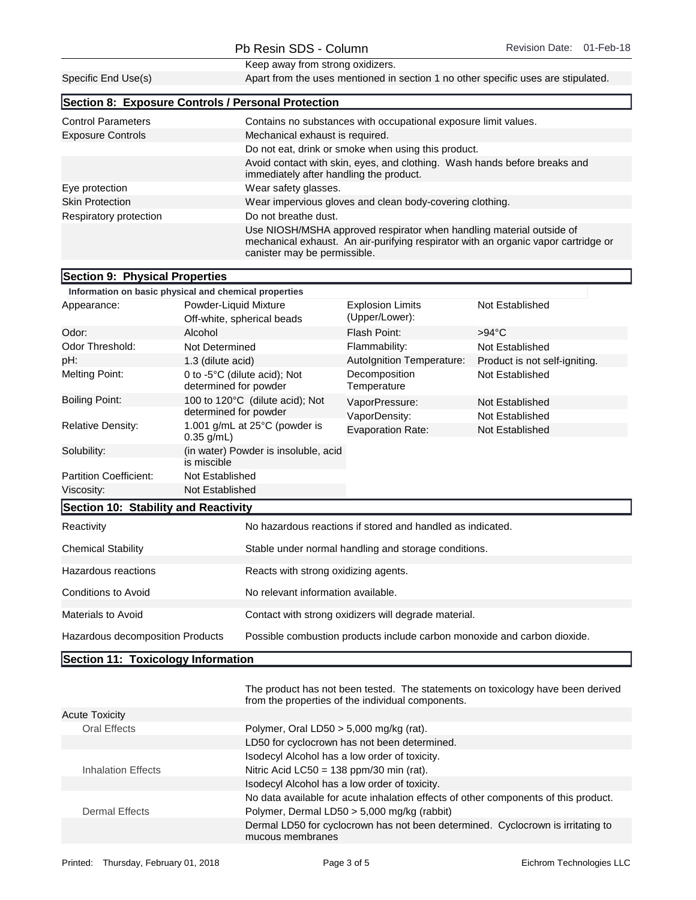|                                | Keep away from strong oxidizers.                       |                                                                                                                                                                                            |                               |  |  |
|--------------------------------|--------------------------------------------------------|--------------------------------------------------------------------------------------------------------------------------------------------------------------------------------------------|-------------------------------|--|--|
| Specific End Use(s)            |                                                        | Apart from the uses mentioned in section 1 no other specific uses are stipulated.                                                                                                          |                               |  |  |
|                                | Section 8: Exposure Controls / Personal Protection     |                                                                                                                                                                                            |                               |  |  |
| <b>Control Parameters</b>      |                                                        | Contains no substances with occupational exposure limit values.                                                                                                                            |                               |  |  |
| <b>Exposure Controls</b>       |                                                        | Mechanical exhaust is required.                                                                                                                                                            |                               |  |  |
|                                |                                                        | Do not eat, drink or smoke when using this product.                                                                                                                                        |                               |  |  |
|                                |                                                        | Avoid contact with skin, eyes, and clothing. Wash hands before breaks and<br>immediately after handling the product.                                                                       |                               |  |  |
| Eye protection                 | Wear safety glasses.                                   |                                                                                                                                                                                            |                               |  |  |
| <b>Skin Protection</b>         |                                                        | Wear impervious gloves and clean body-covering clothing.                                                                                                                                   |                               |  |  |
| Respiratory protection         | Do not breathe dust.                                   |                                                                                                                                                                                            |                               |  |  |
|                                |                                                        | Use NIOSH/MSHA approved respirator when handling material outside of<br>mechanical exhaust. An air-purifying respirator with an organic vapor cartridge or<br>canister may be permissible. |                               |  |  |
| Section 9: Physical Properties |                                                        |                                                                                                                                                                                            |                               |  |  |
|                                | Information on basic physical and chemical properties  |                                                                                                                                                                                            |                               |  |  |
| Appearance:                    | Powder-Liquid Mixture                                  | <b>Explosion Limits</b><br>(Upper/Lower):                                                                                                                                                  | Not Established               |  |  |
|                                | Off-white, spherical beads                             |                                                                                                                                                                                            |                               |  |  |
| Odor:                          | Alcohol                                                | Flash Point:                                                                                                                                                                               | $>94^{\circ}$ C               |  |  |
| Odor Threshold:                | Not Determined                                         | Flammability:                                                                                                                                                                              | Not Established               |  |  |
| pH:                            | 1.3 (dilute acid)                                      | Autolgnition Temperature:                                                                                                                                                                  | Product is not self-igniting. |  |  |
| Melting Point:                 | 0 to -5°C (dilute acid); Not<br>dotorminod for noundor | Decomposition<br>$T$ omnoroturo                                                                                                                                                            | Not Established               |  |  |

|                                        | determined for powder                               | Temperature                                                |                 |  |
|----------------------------------------|-----------------------------------------------------|------------------------------------------------------------|-----------------|--|
| <b>Boiling Point:</b>                  | 100 to 120°C (dilute acid); Not                     | VaporPressure:                                             | Not Established |  |
| determined for powder<br>VaporDensity: |                                                     | Not Established                                            |                 |  |
| <b>Relative Density:</b>               | 1.001 g/mL at 25°C (powder is<br>$0.35$ g/mL)       | <b>Evaporation Rate:</b>                                   | Not Established |  |
| Solubility:                            | (in water) Powder is insoluble, acid<br>is miscible |                                                            |                 |  |
| <b>Partition Coefficient:</b>          | Not Established                                     |                                                            |                 |  |
| Viscosity:                             | Not Established                                     |                                                            |                 |  |
| Section 10: Stability and Reactivity   |                                                     |                                                            |                 |  |
| Reactivity                             |                                                     | No hazardous reactions if stored and handled as indicated. |                 |  |
| <b>Chemical Stability</b>              |                                                     | Stable under normal handling and storage conditions.       |                 |  |
| Hazardous reactions                    | Reacts with strong oxidizing agents.                |                                                            |                 |  |
| Conditions to Avoid                    | No relevant information available.                  |                                                            |                 |  |
|                                        |                                                     |                                                            |                 |  |

Hazardous decomposition Products Possible combustion products include carbon monoxide and carbon dioxide.

Materials to Avoid **Contact with strong oxidizers will degrade material.** 

## Section 11: Toxicology Information

|                       | The product has not been tested. The statements on toxicology have been derived<br>from the properties of the individual components. |  |  |
|-----------------------|--------------------------------------------------------------------------------------------------------------------------------------|--|--|
| <b>Acute Toxicity</b> |                                                                                                                                      |  |  |
| <b>Oral Effects</b>   | Polymer, Oral LD50 $>$ 5,000 mg/kg (rat).                                                                                            |  |  |
|                       | LD50 for cyclocrown has not been determined.                                                                                         |  |  |
|                       | Isodecyl Alcohol has a low order of toxicity.                                                                                        |  |  |
| Inhalation Effects    | Nitric Acid LC50 = $138$ ppm/30 min (rat).                                                                                           |  |  |
|                       | Isodecyl Alcohol has a low order of toxicity.                                                                                        |  |  |
|                       | No data available for acute inhalation effects of other components of this product.                                                  |  |  |
| Dermal Effects        | Polymer, Dermal LD50 > 5,000 mg/kg (rabbit)                                                                                          |  |  |
|                       | Dermal LD50 for cyclocrown has not been determined. Cyclocrown is irritating to<br>mucous membranes                                  |  |  |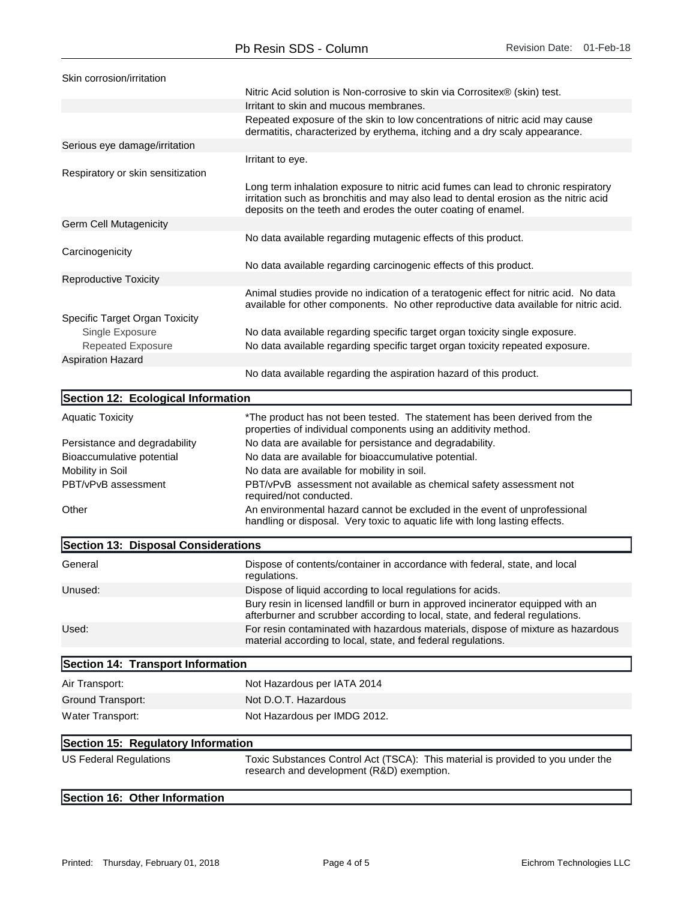| Skin corrosion/irritation           |                                                                                                                                                                                                                                             |
|-------------------------------------|---------------------------------------------------------------------------------------------------------------------------------------------------------------------------------------------------------------------------------------------|
|                                     | Nitric Acid solution is Non-corrosive to skin via Corrositex® (skin) test.                                                                                                                                                                  |
|                                     | Irritant to skin and mucous membranes.                                                                                                                                                                                                      |
|                                     | Repeated exposure of the skin to low concentrations of nitric acid may cause<br>dermatitis, characterized by erythema, itching and a dry scaly appearance.                                                                                  |
| Serious eye damage/irritation       |                                                                                                                                                                                                                                             |
|                                     | Irritant to eye.                                                                                                                                                                                                                            |
| Respiratory or skin sensitization   |                                                                                                                                                                                                                                             |
|                                     | Long term inhalation exposure to nitric acid fumes can lead to chronic respiratory<br>irritation such as bronchitis and may also lead to dental erosion as the nitric acid<br>deposits on the teeth and erodes the outer coating of enamel. |
| Germ Cell Mutagenicity              |                                                                                                                                                                                                                                             |
|                                     | No data available regarding mutagenic effects of this product.                                                                                                                                                                              |
| Carcinogenicity                     |                                                                                                                                                                                                                                             |
|                                     | No data available regarding carcinogenic effects of this product.                                                                                                                                                                           |
| <b>Reproductive Toxicity</b>        |                                                                                                                                                                                                                                             |
|                                     | Animal studies provide no indication of a teratogenic effect for nitric acid. No data<br>available for other components. No other reproductive data available for nitric acid.                                                              |
| Specific Target Organ Toxicity      |                                                                                                                                                                                                                                             |
| Single Exposure                     | No data available regarding specific target organ toxicity single exposure.                                                                                                                                                                 |
| <b>Repeated Exposure</b>            | No data available regarding specific target organ toxicity repeated exposure.                                                                                                                                                               |
| <b>Aspiration Hazard</b>            |                                                                                                                                                                                                                                             |
|                                     | No data available regarding the aspiration hazard of this product.                                                                                                                                                                          |
| Section 12: Ecological Information  |                                                                                                                                                                                                                                             |
| <b>Aquatic Toxicity</b>             | *The product has not been tested. The statement has been derived from the                                                                                                                                                                   |
|                                     | properties of individual components using an additivity method.                                                                                                                                                                             |
| Persistance and degradability       | No data are available for persistance and degradability.                                                                                                                                                                                    |
| Bioaccumulative potential           | No data are available for bioaccumulative potential.                                                                                                                                                                                        |
| Mobility in Soil                    | No data are available for mobility in soil.                                                                                                                                                                                                 |
| PBT/vPvB assessment                 | PBT/vPvB assessment not available as chemical safety assessment not<br>required/not conducted.                                                                                                                                              |
| Other                               | An environmental hazard cannot be excluded in the event of unprofessional<br>handling or disposal. Very toxic to aquatic life with long lasting effects.                                                                                    |
| Section 13: Disposal Considerations |                                                                                                                                                                                                                                             |
| General                             | Dispose of contents/container in accordance with federal, state, and local                                                                                                                                                                  |
| Unused:                             | regulations.<br>Dispose of liquid according to local regulations for acids.                                                                                                                                                                 |
|                                     | Bury resin in licensed landfill or burn in approved incinerator equipped with an                                                                                                                                                            |
| Used:                               | afterburner and scrubber according to local, state, and federal regulations.<br>For resin contaminated with hazardous materials, dispose of mixture as hazardous                                                                            |
|                                     | material according to local, state, and federal regulations.                                                                                                                                                                                |
| Section 14: Transport Information   |                                                                                                                                                                                                                                             |
| Air Transport:                      | Not Hazardous per IATA 2014                                                                                                                                                                                                                 |
| Ground Transport:                   | Not D.O.T. Hazardous                                                                                                                                                                                                                        |
| Water Transport:                    | Not Hazardous per IMDG 2012.                                                                                                                                                                                                                |
| Section 15: Regulatory Information  |                                                                                                                                                                                                                                             |
| <b>US Federal Regulations</b>       | Toxic Substances Control Act (TSCA): This material is provided to you under the                                                                                                                                                             |
|                                     | research and development (R&D) exemption.                                                                                                                                                                                                   |
| Section 16: Other Information       |                                                                                                                                                                                                                                             |
|                                     |                                                                                                                                                                                                                                             |